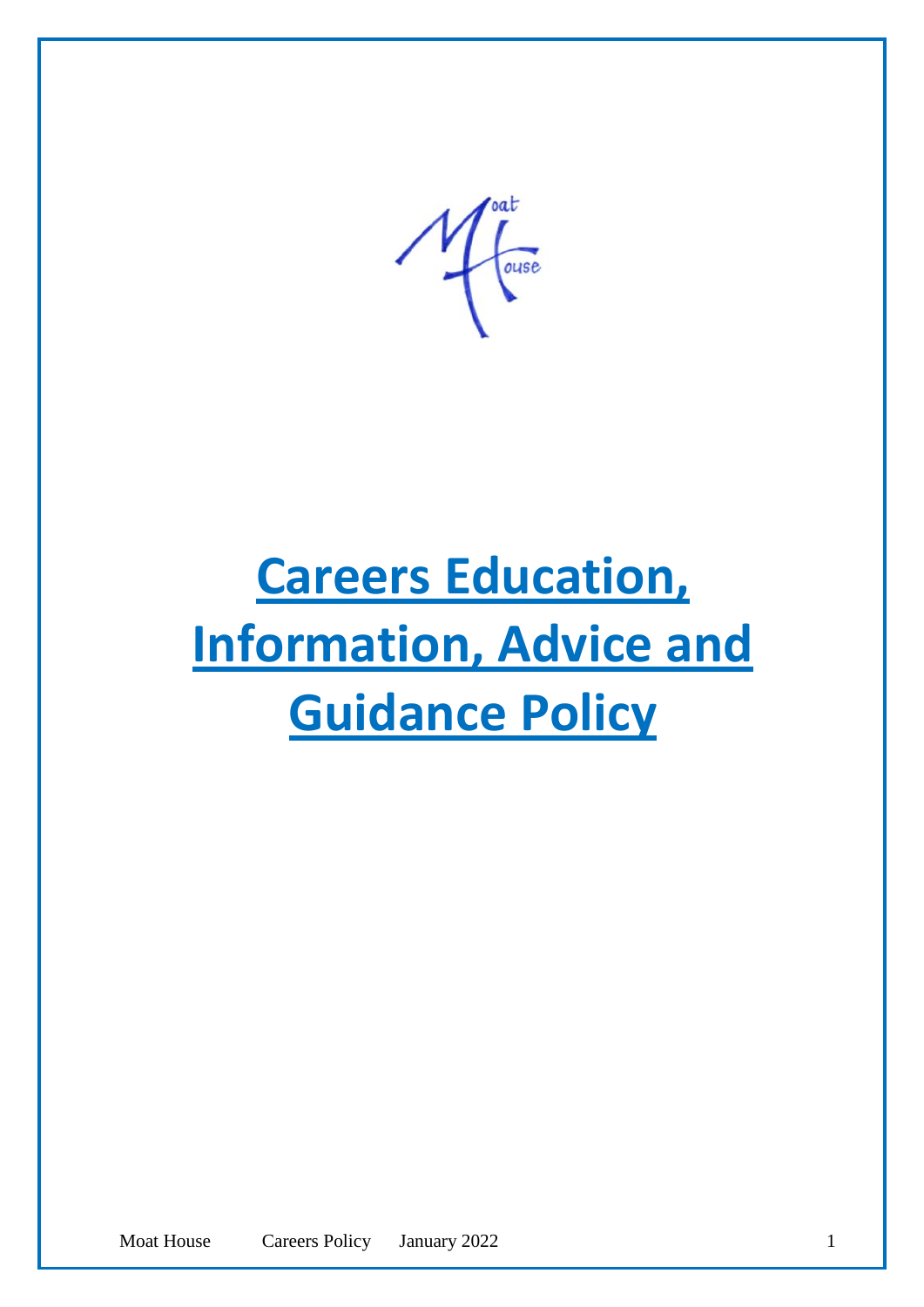ouse

# **Careers Education, Information, Advice and Guidance Policy**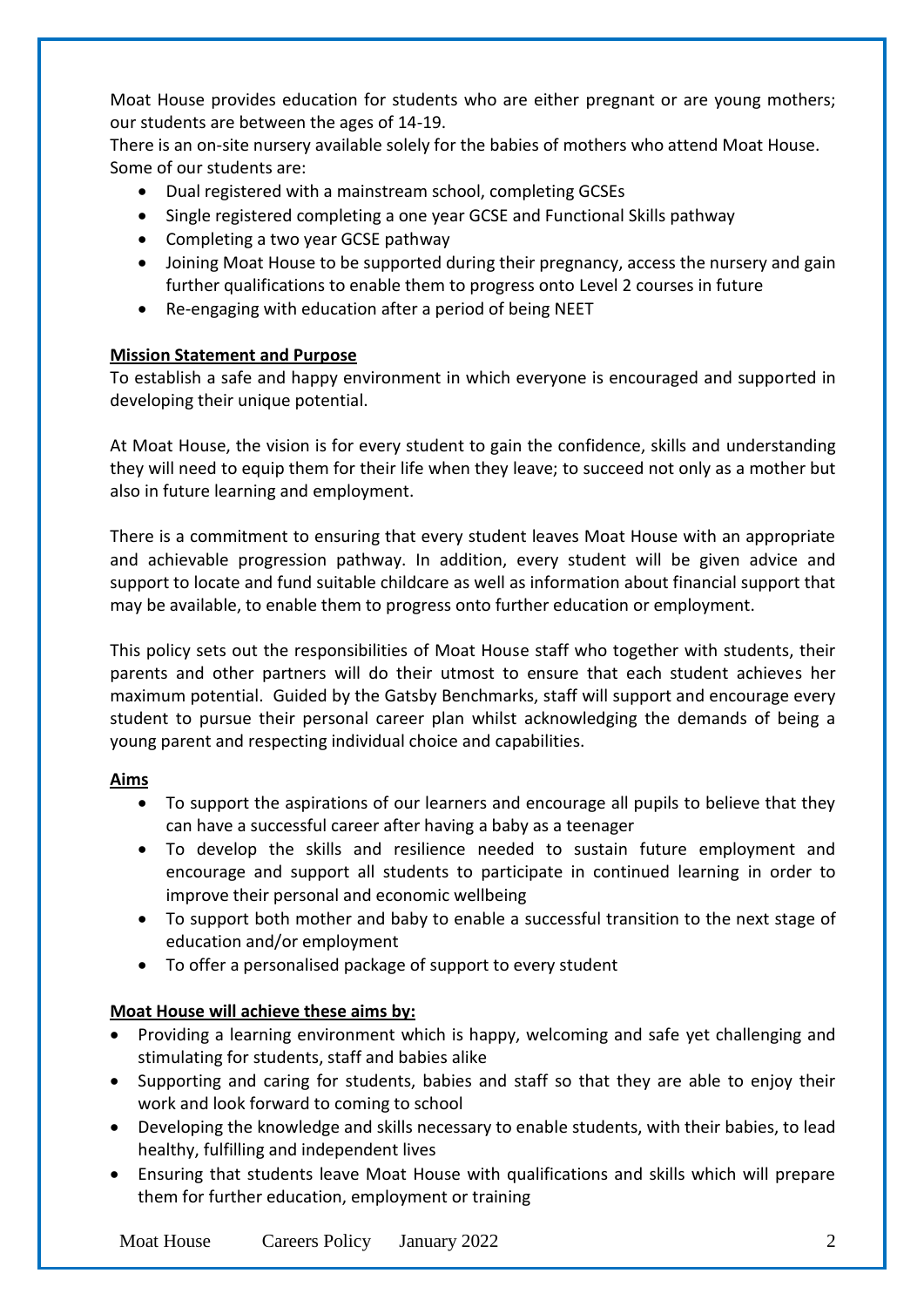Moat House provides education for students who are either pregnant or are young mothers; our students are between the ages of 14-19.

There is an on-site nursery available solely for the babies of mothers who attend Moat House. Some of our students are:

- Dual registered with a mainstream school, completing GCSEs
- Single registered completing a one year GCSE and Functional Skills pathway
- Completing a two year GCSE pathway
- Joining Moat House to be supported during their pregnancy, access the nursery and gain further qualifications to enable them to progress onto Level 2 courses in future
- Re-engaging with education after a period of being NEET

## **Mission Statement and Purpose**

To establish a safe and happy environment in which everyone is encouraged and supported in developing their unique potential.

At Moat House, the vision is for every student to gain the confidence, skills and understanding they will need to equip them for their life when they leave; to succeed not only as a mother but also in future learning and employment.

There is a commitment to ensuring that every student leaves Moat House with an appropriate and achievable progression pathway. In addition, every student will be given advice and support to locate and fund suitable childcare as well as information about financial support that may be available, to enable them to progress onto further education or employment.

This policy sets out the responsibilities of Moat House staff who together with students, their parents and other partners will do their utmost to ensure that each student achieves her maximum potential. Guided by the Gatsby Benchmarks, staff will support and encourage every student to pursue their personal career plan whilst acknowledging the demands of being a young parent and respecting individual choice and capabilities.

## **Aims**

- To support the aspirations of our learners and encourage all pupils to believe that they can have a successful career after having a baby as a teenager
- To develop the skills and resilience needed to sustain future employment and encourage and support all students to participate in continued learning in order to improve their personal and economic wellbeing
- To support both mother and baby to enable a successful transition to the next stage of education and/or employment
- To offer a personalised package of support to every student

## **Moat House will achieve these aims by:**

- Providing a learning environment which is happy, welcoming and safe yet challenging and stimulating for students, staff and babies alike
- Supporting and caring for students, babies and staff so that they are able to enjoy their work and look forward to coming to school
- Developing the knowledge and skills necessary to enable students, with their babies, to lead healthy, fulfilling and independent lives
- Ensuring that students leave Moat House with qualifications and skills which will prepare them for further education, employment or training